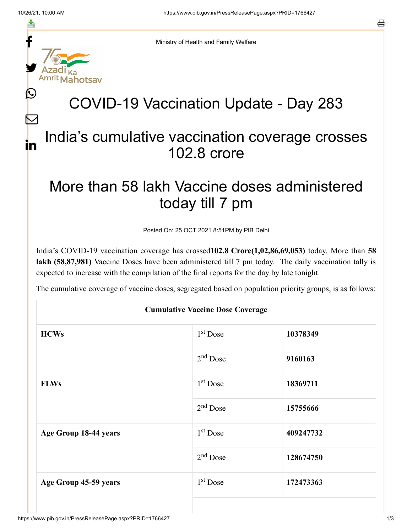f

≛

y.

ahotsav

Ŀ

 $\bm{\nabla}$ 

in



## COVID-19 Vaccination Update - Day 283

## India's cumulative vaccination coverage crosses 102.8 crore

## More than 58 lakh Vaccine doses administered today till 7 pm

Posted On: 25 OCT 2021 8:51PM by PIB Delhi

India's COVID-19 vaccination coverage has crossed**102.8 Crore(1,02,86,69,053)** today. More than **58 lakh (58,87,981)** Vaccine Doses have been administered till 7 pm today. The daily vaccination tally is expected to increase with the compilation of the final reports for the day by late tonight.

The cumulative coverage of vaccine doses, segregated based on population priority groups, is as follows:

| <b>Cumulative Vaccine Dose Coverage</b> |            |           |  |  |
|-----------------------------------------|------------|-----------|--|--|
| <b>HCWs</b>                             | $1st$ Dose | 10378349  |  |  |
|                                         | $2nd$ Dose | 9160163   |  |  |
| <b>FLWs</b>                             | $1st$ Dose | 18369711  |  |  |
|                                         | $2nd$ Dose | 15755666  |  |  |
| Age Group 18-44 years                   | $1st$ Dose | 409247732 |  |  |
|                                         | $2nd$ Dose | 128674750 |  |  |
| Age Group 45-59 years                   | $1st$ Dose | 172473363 |  |  |
|                                         |            |           |  |  |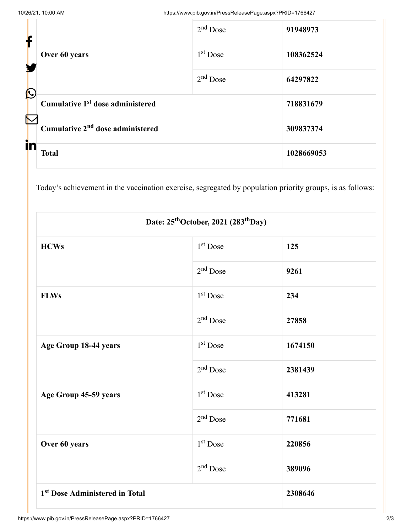| f            |                                              | $2nd$ Dose | 91948973   |
|--------------|----------------------------------------------|------------|------------|
|              | Over 60 years                                | $1st$ Dose | 108362524  |
| $\bigcirc$   |                                              | $2nd$ Dose | 64297822   |
| $\bf \nabla$ | Cumulative 1 <sup>st</sup> dose administered |            | 718831679  |
| in           | Cumulative 2 <sup>nd</sup> dose administered |            | 309837374  |
|              | <b>Total</b>                                 |            | 1028669053 |

Today's achievement in the vaccination exercise, segregated by population priority groups, is as follows:

| Date: 25 <sup>th</sup> October, 2021 (283 <sup>th</sup> Day) |                      |         |  |  |
|--------------------------------------------------------------|----------------------|---------|--|--|
| <b>HCWs</b>                                                  | 1 <sup>st</sup> Dose | 125     |  |  |
|                                                              | $2nd$ Dose           | 9261    |  |  |
| <b>FLWs</b>                                                  | $1st$ Dose           | 234     |  |  |
|                                                              | $2nd$ Dose           | 27858   |  |  |
| Age Group 18-44 years                                        | $1st$ Dose           | 1674150 |  |  |
|                                                              | $2nd$ Dose           | 2381439 |  |  |
| Age Group 45-59 years                                        | 1 <sup>st</sup> Dose | 413281  |  |  |
|                                                              | $2nd$ Dose           | 771681  |  |  |
| Over 60 years                                                | 1 <sup>st</sup> Dose | 220856  |  |  |
|                                                              | $2nd$ Dose           | 389096  |  |  |
| 1 <sup>st</sup> Dose Administered in Total                   |                      | 2308646 |  |  |